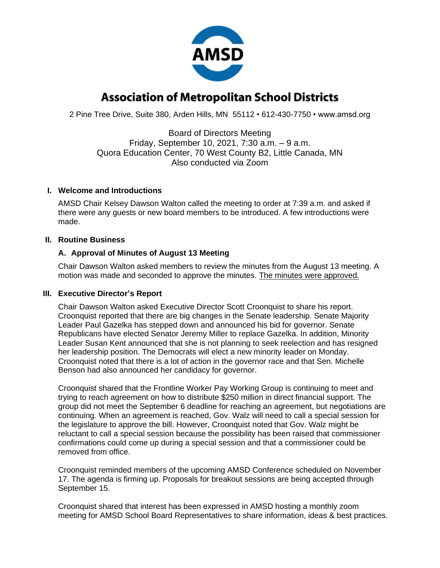

# **Association of Metropolitan School Districts**

2 Pine Tree Drive, Suite 380, Arden Hills, MN 55112 • 612-430-7750 • www.amsd.org

Board of Directors Meeting Friday, September 10, 2021, 7:30 a.m. – 9 a.m. Quora Education Center, 70 West County B2, Little Canada, MN Also conducted via Zoom

## **I. Welcome and Introductions**

AMSD Chair Kelsey Dawson Walton called the meeting to order at 7:39 a.m. and asked if there were any guests or new board members to be introduced. A few introductions were made.

## **II. Routine Business**

## **A. Approval of Minutes of August 13 Meeting**

Chair Dawson Walton asked members to review the minutes from the August 13 meeting. A motion was made and seconded to approve the minutes. The minutes were approved.

#### **III. Executive Director's Report**

Chair Dawson Walton asked Executive Director Scott Croonquist to share his report. Croonquist reported that there are big changes in the Senate leadership. Senate Majority Leader Paul Gazelka has stepped down and announced his bid for governor. Senate Republicans have elected Senator Jeremy Miller to replace Gazelka. In addition, Minority Leader Susan Kent announced that she is not planning to seek reelection and has resigned her leadership position. The Democrats will elect a new minority leader on Monday. Croonquist noted that there is a lot of action in the governor race and that Sen. Michelle Benson had also announced her candidacy for governor.

Croonquist shared that the Frontline Worker Pay Working Group is continuing to meet and trying to reach agreement on how to distribute \$250 million in direct financial support. The group did not meet the September 6 deadline for reaching an agreement, but negotiations are continuing. When an agreement is reached, Gov. Walz will need to call a special session for the legislature to approve the bill. However, Croonquist noted that Gov. Walz might be reluctant to call a special session because the possibility has been raised that commissioner confirmations could come up during a special session and that a commissioner could be removed from office.

Croonquist reminded members of the upcoming AMSD Conference scheduled on November 17. The agenda is firming up. Proposals for breakout sessions are being accepted through September 15.

Croonquist shared that interest has been expressed in AMSD hosting a monthly zoom meeting for AMSD School Board Representatives to share information, ideas & best practices.